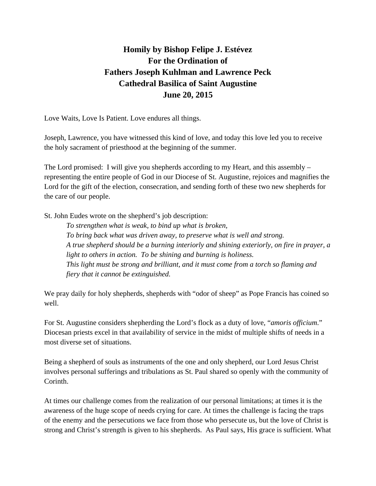## **Homily by Bishop Felipe J. Estévez For the Ordination of Fathers Joseph Kuhlman and Lawrence Peck Cathedral Basilica of Saint Augustine June 20, 2015**

Love Waits, Love Is Patient. Love endures all things.

Joseph, Lawrence, you have witnessed this kind of love, and today this love led you to receive the holy sacrament of priesthood at the beginning of the summer.

The Lord promised: I will give you shepherds according to my Heart, and this assembly – representing the entire people of God in our Diocese of St. Augustine, rejoices and magnifies the Lord for the gift of the election, consecration, and sending forth of these two new shepherds for the care of our people.

St. John Eudes wrote on the shepherd's job description:

*To strengthen what is weak, to bind up what is broken, To bring back what was driven away, to preserve what is well and strong. A true shepherd should be a burning interiorly and shining exteriorly, on fire in prayer, a light to others in action. To be shining and burning is holiness. This light must be strong and brilliant, and it must come from a torch so flaming and fiery that it cannot be extinguished.* 

We pray daily for holy shepherds, shepherds with "odor of sheep" as Pope Francis has coined so well.

For St. Augustine considers shepherding the Lord's flock as a duty of love, "*amoris officium*." Diocesan priests excel in that availability of service in the midst of multiple shifts of needs in a most diverse set of situations.

Being a shepherd of souls as instruments of the one and only shepherd, our Lord Jesus Christ involves personal sufferings and tribulations as St. Paul shared so openly with the community of Corinth.

At times our challenge comes from the realization of our personal limitations; at times it is the awareness of the huge scope of needs crying for care. At times the challenge is facing the traps of the enemy and the persecutions we face from those who persecute us, but the love of Christ is strong and Christ's strength is given to his shepherds. As Paul says, His grace is sufficient. What